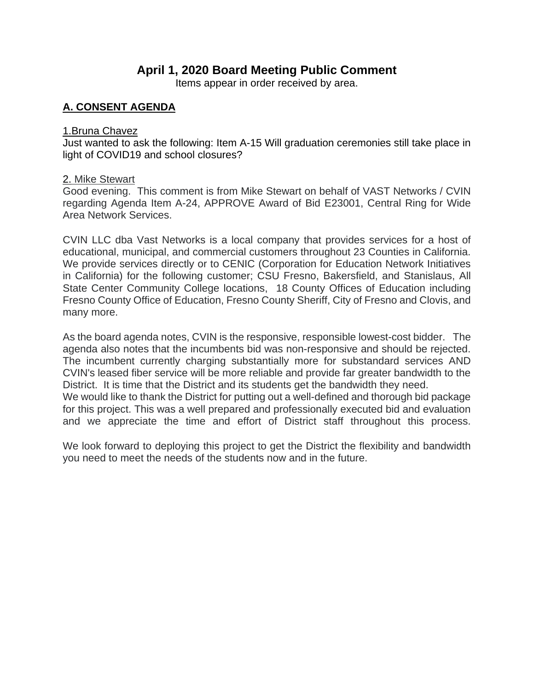# **April 1, 2020 Board Meeting Public Comment**

Items appear in order received by area.

# **A. CONSENT AGENDA**

#### 1.Bruna Chavez

Just wanted to ask the following: Item A-15 Will graduation ceremonies still take place in light of COVID19 and school closures?

### 2. Mike Stewart

Good evening. This comment is from Mike Stewart on behalf of VAST Networks / CVIN regarding Agenda Item A-24, APPROVE Award of Bid E23001, Central Ring for Wide Area Network Services.

CVIN LLC dba Vast Networks is a local company that provides services for a host of educational, municipal, and commercial customers throughout 23 Counties in California. We provide services directly or to CENIC (Corporation for Education Network Initiatives in California) for the following customer; CSU Fresno, Bakersfield, and Stanislaus, All State Center Community College locations, 18 County Offices of Education including Fresno County Office of Education, Fresno County Sheriff, City of Fresno and Clovis, and many more.

As the board agenda notes, CVIN is the responsive, responsible lowest-cost bidder. The agenda also notes that the incumbents bid was non-responsive and should be rejected. The incumbent currently charging substantially more for substandard services AND CVIN's leased fiber service will be more reliable and provide far greater bandwidth to the District. It is time that the District and its students get the bandwidth they need.

We would like to thank the District for putting out a well-defined and thorough bid package for this project. This was a well prepared and professionally executed bid and evaluation and we appreciate the time and effort of District staff throughout this process.

We look forward to deploying this project to get the District the flexibility and bandwidth you need to meet the needs of the students now and in the future.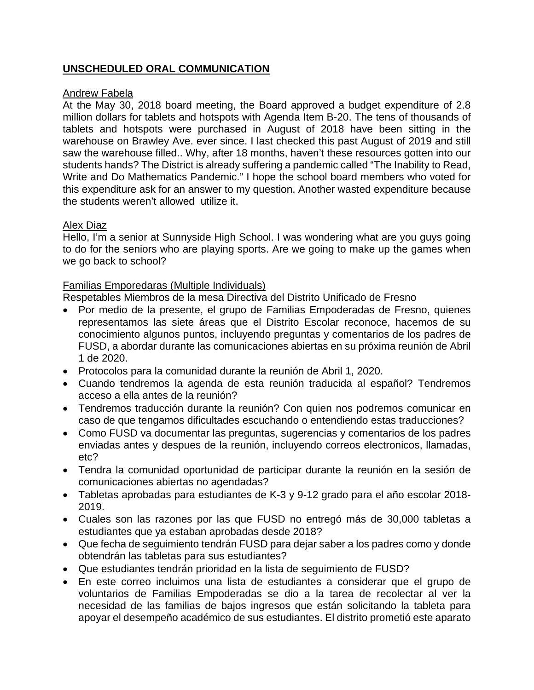# **UNSCHEDULED ORAL COMMUNICATION**

# Andrew Fabela

At the May 30, 2018 board meeting, the Board approved a budget expenditure of 2.8 million dollars for tablets and hotspots with Agenda Item B-20. The tens of thousands of tablets and hotspots were purchased in August of 2018 have been sitting in the warehouse on Brawley Ave. ever since. I last checked this past August of 2019 and still saw the warehouse filled.. Why, after 18 months, haven't these resources gotten into our students hands? The District is already suffering a pandemic called "The Inability to Read, Write and Do Mathematics Pandemic." I hope the school board members who voted for this expenditure ask for an answer to my question. Another wasted expenditure because the students weren't allowed utilize it.

# Alex Diaz

Hello, I'm a senior at Sunnyside High School. I was wondering what are you guys going to do for the seniors who are playing sports. Are we going to make up the games when we go back to school?

# Familias Emporedaras (Multiple Individuals)

Respetables Miembros de la mesa Directiva del Distrito Unificado de Fresno

- Por medio de la presente, el grupo de Familias Empoderadas de Fresno, quienes representamos las siete áreas que el Distrito Escolar reconoce, hacemos de su conocimiento algunos puntos, incluyendo preguntas y comentarios de los padres de FUSD, a abordar durante las comunicaciones abiertas en su próxima reunión de Abril 1 de 2020.
- Protocolos para la comunidad durante la reunión de Abril 1, 2020.
- Cuando tendremos la agenda de esta reunión traducida al español? Tendremos acceso a ella antes de la reunión?
- Tendremos traducción durante la reunión? Con quien nos podremos comunicar en caso de que tengamos dificultades escuchando o entendiendo estas traducciones?
- Como FUSD va documentar las preguntas, sugerencias y comentarios de los padres enviadas antes y despues de la reunión, incluyendo correos electronicos, llamadas, etc?
- Tendra la comunidad oportunidad de participar durante la reunión en la sesión de comunicaciones abiertas no agendadas?
- Tabletas aprobadas para estudiantes de K-3 y 9-12 grado para el año escolar 2018- 2019.
- Cuales son las razones por las que FUSD no entregó más de 30,000 tabletas a estudiantes que ya estaban aprobadas desde 2018?
- Que fecha de seguimiento tendrán FUSD para dejar saber a los padres como y donde obtendrán las tabletas para sus estudiantes?
- Que estudiantes tendrán prioridad en la lista de seguimiento de FUSD?
- En este correo incluimos una lista de estudiantes a considerar que el grupo de voluntarios de Familias Empoderadas se dio a la tarea de recolectar al ver la necesidad de las familias de bajos ingresos que están solicitando la tableta para apoyar el desempeño académico de sus estudiantes. El distrito prometió este aparato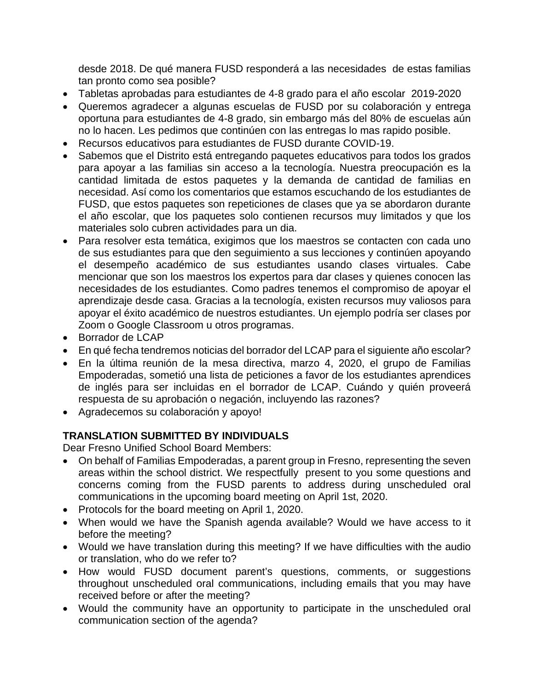desde 2018. De qué manera FUSD responderá a las necesidades de estas familias tan pronto como sea posible?

- Tabletas aprobadas para estudiantes de 4-8 grado para el año escolar 2019-2020
- Queremos agradecer a algunas escuelas de FUSD por su colaboración y entrega oportuna para estudiantes de 4-8 grado, sin embargo más del 80% de escuelas aún no lo hacen. Les pedimos que continúen con las entregas lo mas rapido posible.
- Recursos educativos para estudiantes de FUSD durante COVID-19.
- Sabemos que el Distrito está entregando paquetes educativos para todos los grados para apoyar a las familias sin acceso a la tecnología. Nuestra preocupación es la cantidad limitada de estos paquetes y la demanda de cantidad de familias en necesidad. Así como los comentarios que estamos escuchando de los estudiantes de FUSD, que estos paquetes son repeticiones de clases que ya se abordaron durante el año escolar, que los paquetes solo contienen recursos muy limitados y que los materiales solo cubren actividades para un dia.
- Para resolver esta temática, exigimos que los maestros se contacten con cada uno de sus estudiantes para que den seguimiento a sus lecciones y continúen apoyando el desempeño académico de sus estudiantes usando clases virtuales. Cabe mencionar que son los maestros los expertos para dar clases y quienes conocen las necesidades de los estudiantes. Como padres tenemos el compromiso de apoyar el aprendizaje desde casa. Gracias a la tecnología, existen recursos muy valiosos para apoyar el éxito académico de nuestros estudiantes. Un ejemplo podría ser clases por Zoom o Google Classroom u otros programas.
- Borrador de LCAP
- En qué fecha tendremos noticias del borrador del LCAP para el siguiente año escolar?
- En la última reunión de la mesa directiva, marzo 4, 2020, el grupo de Familias Empoderadas, sometió una lista de peticiones a favor de los estudiantes aprendices de inglés para ser incluidas en el borrador de LCAP. Cuándo y quién proveerá respuesta de su aprobación o negación, incluyendo las razones?
- Agradecemos su colaboración y apoyo!

# **TRANSLATION SUBMITTED BY INDIVIDUALS**

Dear Fresno Unified School Board Members:

- On behalf of Familias Empoderadas, a parent group in Fresno, representing the seven areas within the school district. We respectfully present to you some questions and concerns coming from the FUSD parents to address during unscheduled oral communications in the upcoming board meeting on April 1st, 2020.
- Protocols for the board meeting on April 1, 2020.
- When would we have the Spanish agenda available? Would we have access to it before the meeting?
- Would we have translation during this meeting? If we have difficulties with the audio or translation, who do we refer to?
- How would FUSD document parent's questions, comments, or suggestions throughout unscheduled oral communications, including emails that you may have received before or after the meeting?
- Would the community have an opportunity to participate in the unscheduled oral communication section of the agenda?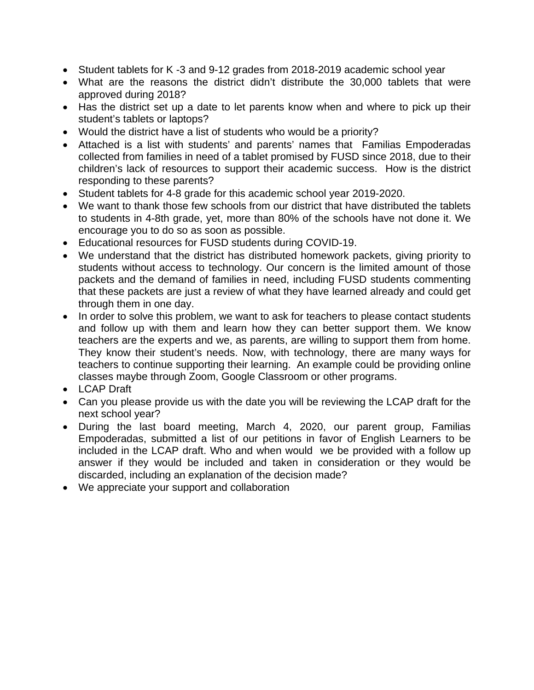- Student tablets for K -3 and 9-12 grades from 2018-2019 academic school year
- What are the reasons the district didn't distribute the 30,000 tablets that were approved during 2018?
- Has the district set up a date to let parents know when and where to pick up their student's tablets or laptops?
- Would the district have a list of students who would be a priority?
- Attached is a list with students' and parents' names that Familias Empoderadas collected from families in need of a tablet promised by FUSD since 2018, due to their children's lack of resources to support their academic success. How is the district responding to these parents?
- Student tablets for 4-8 grade for this academic school year 2019-2020.
- We want to thank those few schools from our district that have distributed the tablets to students in 4-8th grade, yet, more than 80% of the schools have not done it. We encourage you to do so as soon as possible.
- Educational resources for FUSD students during COVID-19.
- We understand that the district has distributed homework packets, giving priority to students without access to technology. Our concern is the limited amount of those packets and the demand of families in need, including FUSD students commenting that these packets are just a review of what they have learned already and could get through them in one day.
- In order to solve this problem, we want to ask for teachers to please contact students and follow up with them and learn how they can better support them. We know teachers are the experts and we, as parents, are willing to support them from home. They know their student's needs. Now, with technology, there are many ways for teachers to continue supporting their learning. An example could be providing online classes maybe through Zoom, Google Classroom or other programs.
- LCAP Draft
- Can you please provide us with the date you will be reviewing the LCAP draft for the next school year?
- During the last board meeting, March 4, 2020, our parent group, Familias Empoderadas, submitted a list of our petitions in favor of English Learners to be included in the LCAP draft. Who and when would we be provided with a follow up answer if they would be included and taken in consideration or they would be discarded, including an explanation of the decision made?
- We appreciate your support and collaboration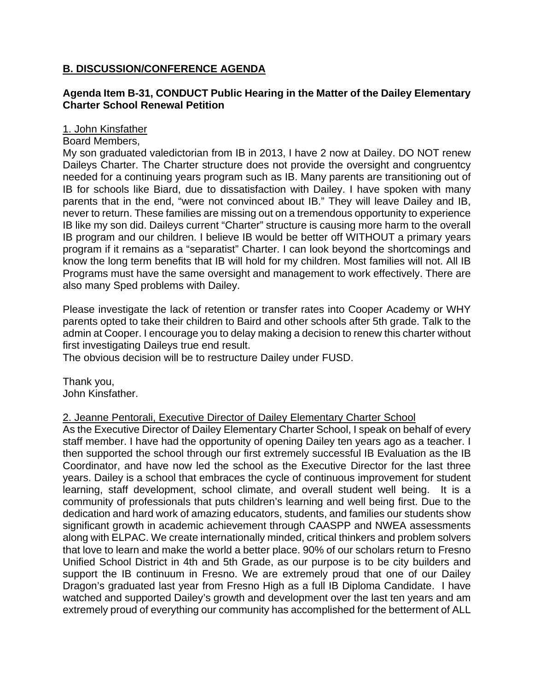# **B. DISCUSSION/CONFERENCE AGENDA**

# **Agenda Item B-31, CONDUCT Public Hearing in the Matter of the Dailey Elementary Charter School Renewal Petition**

# 1. John Kinsfather

# Board Members,

My son graduated valedictorian from IB in 2013, I have 2 now at Dailey. DO NOT renew Daileys Charter. The Charter structure does not provide the oversight and congruentcy needed for a continuing years program such as IB. Many parents are transitioning out of IB for schools like Biard, due to dissatisfaction with Dailey. I have spoken with many parents that in the end, "were not convinced about IB." They will leave Dailey and IB, never to return. These families are missing out on a tremendous opportunity to experience IB like my son did. Daileys current "Charter" structure is causing more harm to the overall IB program and our children. I believe IB would be better off WITHOUT a primary years program if it remains as a "separatist" Charter. I can look beyond the shortcomings and know the long term benefits that IB will hold for my children. Most families will not. All IB Programs must have the same oversight and management to work effectively. There are also many Sped problems with Dailey.

Please investigate the lack of retention or transfer rates into Cooper Academy or WHY parents opted to take their children to Baird and other schools after 5th grade. Talk to the admin at Cooper. I encourage you to delay making a decision to renew this charter without first investigating Daileys true end result.

The obvious decision will be to restructure Dailey under FUSD.

Thank you, John Kinsfather.

# 2. Jeanne Pentorali, Executive Director of Dailey Elementary Charter School

As the Executive Director of Dailey Elementary Charter School, I speak on behalf of every staff member. I have had the opportunity of opening Dailey ten years ago as a teacher. I then supported the school through our first extremely successful IB Evaluation as the IB Coordinator, and have now led the school as the Executive Director for the last three years. Dailey is a school that embraces the cycle of continuous improvement for student learning, staff development, school climate, and overall student well being. It is a community of professionals that puts children's learning and well being first. Due to the dedication and hard work of amazing educators, students, and families our students show significant growth in academic achievement through CAASPP and NWEA assessments along with ELPAC. We create internationally minded, critical thinkers and problem solvers that love to learn and make the world a better place. 90% of our scholars return to Fresno Unified School District in 4th and 5th Grade, as our purpose is to be city builders and support the IB continuum in Fresno. We are extremely proud that one of our Dailey Dragon's graduated last year from Fresno High as a full IB Diploma Candidate. I have watched and supported Dailey's growth and development over the last ten years and am extremely proud of everything our community has accomplished for the betterment of ALL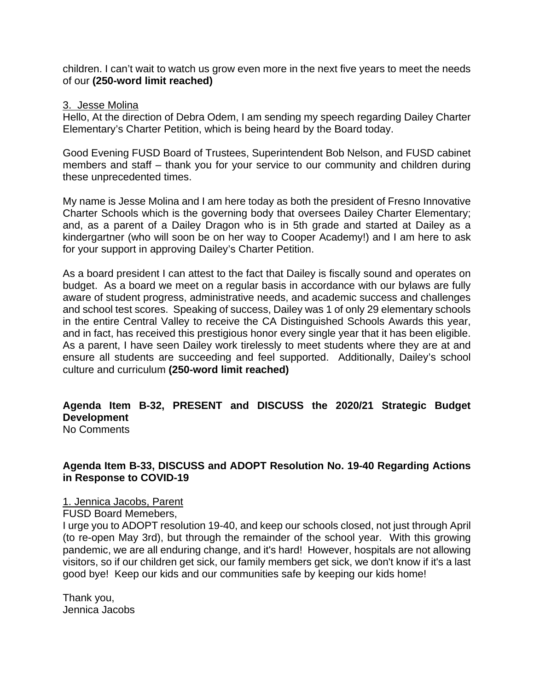children. I can't wait to watch us grow even more in the next five years to meet the needs of our **(250-word limit reached)**

#### 3. Jesse Molina

Hello, At the direction of Debra Odem, I am sending my speech regarding Dailey Charter Elementary's Charter Petition, which is being heard by the Board today.

Good Evening FUSD Board of Trustees, Superintendent Bob Nelson, and FUSD cabinet members and staff – thank you for your service to our community and children during these unprecedented times.

My name is Jesse Molina and I am here today as both the president of Fresno Innovative Charter Schools which is the governing body that oversees Dailey Charter Elementary; and, as a parent of a Dailey Dragon who is in 5th grade and started at Dailey as a kindergartner (who will soon be on her way to Cooper Academy!) and I am here to ask for your support in approving Dailey's Charter Petition.

As a board president I can attest to the fact that Dailey is fiscally sound and operates on budget. As a board we meet on a regular basis in accordance with our bylaws are fully aware of student progress, administrative needs, and academic success and challenges and school test scores. Speaking of success, Dailey was 1 of only 29 elementary schools in the entire Central Valley to receive the CA Distinguished Schools Awards this year, and in fact, has received this prestigious honor every single year that it has been eligible. As a parent, I have seen Dailey work tirelessly to meet students where they are at and ensure all students are succeeding and feel supported. Additionally, Dailey's school culture and curriculum **(250-word limit reached)**

#### **Agenda Item B-32, PRESENT and DISCUSS the 2020/21 Strategic Budget Development**  No Comments

# **Agenda Item B-33, DISCUSS and ADOPT Resolution No. 19-40 Regarding Actions in Response to COVID-19**

1. Jennica Jacobs, Parent

FUSD Board Memebers,

I urge you to ADOPT resolution 19-40, and keep our schools closed, not just through April (to re-open May 3rd), but through the remainder of the school year. With this growing pandemic, we are all enduring change, and it's hard! However, hospitals are not allowing visitors, so if our children get sick, our family members get sick, we don't know if it's a last good bye! Keep our kids and our communities safe by keeping our kids home!

Thank you, Jennica Jacobs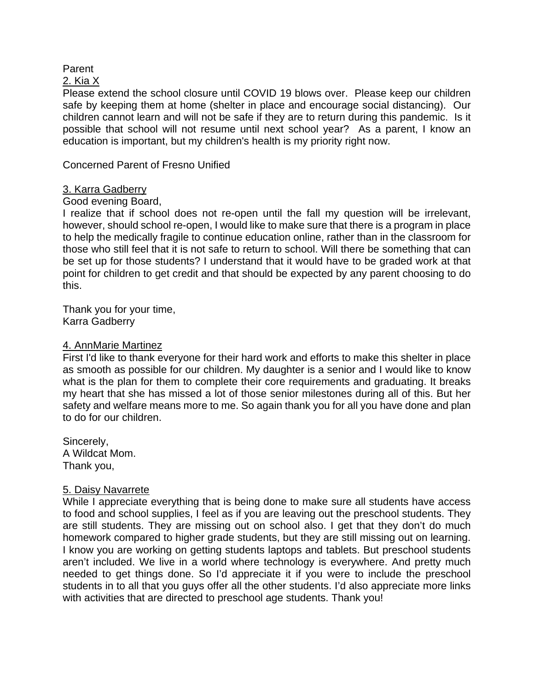### Parent

#### 2. Kia X

Please extend the school closure until COVID 19 blows over. Please keep our children safe by keeping them at home (shelter in place and encourage social distancing). Our children cannot learn and will not be safe if they are to return during this pandemic. Is it possible that school will not resume until next school year? As a parent, I know an education is important, but my children's health is my priority right now.

Concerned Parent of Fresno Unified

### 3. Karra Gadberry

#### Good evening Board,

I realize that if school does not re-open until the fall my question will be irrelevant, however, should school re-open, I would like to make sure that there is a program in place to help the medically fragile to continue education online, rather than in the classroom for those who still feel that it is not safe to return to school. Will there be something that can be set up for those students? I understand that it would have to be graded work at that point for children to get credit and that should be expected by any parent choosing to do this.

Thank you for your time, Karra Gadberry

#### 4. AnnMarie Martinez

First I'd like to thank everyone for their hard work and efforts to make this shelter in place as smooth as possible for our children. My daughter is a senior and I would like to know what is the plan for them to complete their core requirements and graduating. It breaks my heart that she has missed a lot of those senior milestones during all of this. But her safety and welfare means more to me. So again thank you for all you have done and plan to do for our children.

Sincerely, A Wildcat Mom. Thank you,

# 5. Daisy Navarrete

While I appreciate everything that is being done to make sure all students have access to food and school supplies, I feel as if you are leaving out the preschool students. They are still students. They are missing out on school also. I get that they don't do much homework compared to higher grade students, but they are still missing out on learning. I know you are working on getting students laptops and tablets. But preschool students aren't included. We live in a world where technology is everywhere. And pretty much needed to get things done. So I'd appreciate it if you were to include the preschool students in to all that you guys offer all the other students. I'd also appreciate more links with activities that are directed to preschool age students. Thank you!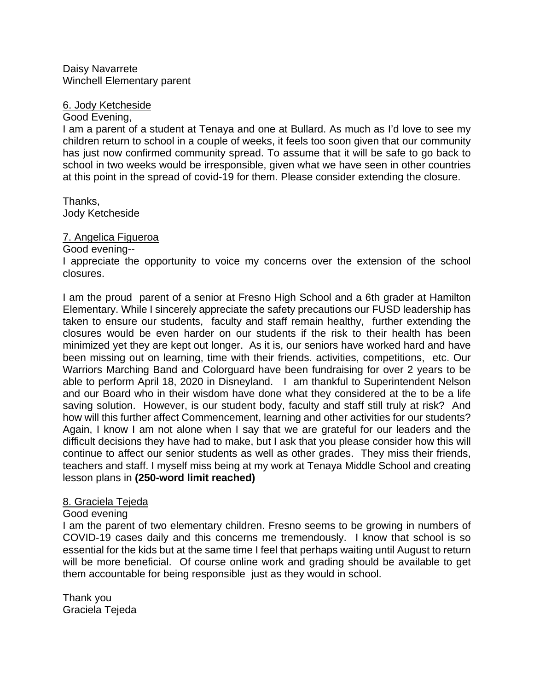Daisy Navarrete Winchell Elementary parent

#### 6. Jody Ketcheside

#### Good Evening,

I am a parent of a student at Tenaya and one at Bullard. As much as I'd love to see my children return to school in a couple of weeks, it feels too soon given that our community has just now confirmed community spread. To assume that it will be safe to go back to school in two weeks would be irresponsible, given what we have seen in other countries at this point in the spread of covid-19 for them. Please consider extending the closure.

Thanks, Jody Ketcheside

#### 7. Angelica Figueroa

#### Good evening--

I appreciate the opportunity to voice my concerns over the extension of the school closures.

I am the proud parent of a senior at Fresno High School and a 6th grader at Hamilton Elementary. While I sincerely appreciate the safety precautions our FUSD leadership has taken to ensure our students, faculty and staff remain healthy, further extending the closures would be even harder on our students if the risk to their health has been minimized yet they are kept out longer. As it is, our seniors have worked hard and have been missing out on learning, time with their friends. activities, competitions, etc. Our Warriors Marching Band and Colorguard have been fundraising for over 2 years to be able to perform April 18, 2020 in Disneyland. I am thankful to Superintendent Nelson and our Board who in their wisdom have done what they considered at the to be a life saving solution. However, is our student body, faculty and staff still truly at risk? And how will this further affect Commencement, learning and other activities for our students? Again, I know I am not alone when I say that we are grateful for our leaders and the difficult decisions they have had to make, but I ask that you please consider how this will continue to affect our senior students as well as other grades. They miss their friends, teachers and staff. I myself miss being at my work at Tenaya Middle School and creating lesson plans in **(250-word limit reached)**

#### 8. Graciela Tejeda

#### Good evening

I am the parent of two elementary children. Fresno seems to be growing in numbers of COVID-19 cases daily and this concerns me tremendously. I know that school is so essential for the kids but at the same time I feel that perhaps waiting until August to return will be more beneficial. Of course online work and grading should be available to get them accountable for being responsible just as they would in school.

Thank you Graciela Tejeda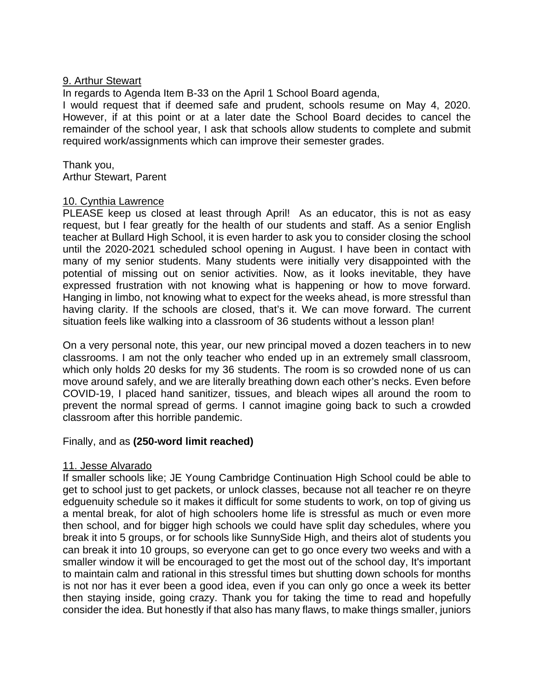# 9. Arthur Stewart

In regards to Agenda Item B-33 on the April 1 School Board agenda,

I would request that if deemed safe and prudent, schools resume on May 4, 2020. However, if at this point or at a later date the School Board decides to cancel the remainder of the school year, I ask that schools allow students to complete and submit required work/assignments which can improve their semester grades.

Thank you, Arthur Stewart, Parent

#### 10. Cynthia Lawrence

PLEASE keep us closed at least through April! As an educator, this is not as easy request, but I fear greatly for the health of our students and staff. As a senior English teacher at Bullard High School, it is even harder to ask you to consider closing the school until the 2020-2021 scheduled school opening in August. I have been in contact with many of my senior students. Many students were initially very disappointed with the potential of missing out on senior activities. Now, as it looks inevitable, they have expressed frustration with not knowing what is happening or how to move forward. Hanging in limbo, not knowing what to expect for the weeks ahead, is more stressful than having clarity. If the schools are closed, that's it. We can move forward. The current situation feels like walking into a classroom of 36 students without a lesson plan!

On a very personal note, this year, our new principal moved a dozen teachers in to new classrooms. I am not the only teacher who ended up in an extremely small classroom, which only holds 20 desks for my 36 students. The room is so crowded none of us can move around safely, and we are literally breathing down each other's necks. Even before COVID-19, I placed hand sanitizer, tissues, and bleach wipes all around the room to prevent the normal spread of germs. I cannot imagine going back to such a crowded classroom after this horrible pandemic.

#### Finally, and as **(250-word limit reached)**

#### 11. Jesse Alvarado

If smaller schools like; JE Young Cambridge Continuation High School could be able to get to school just to get packets, or unlock classes, because not all teacher re on theyre edguenuity schedule so it makes it difficult for some students to work, on top of giving us a mental break, for alot of high schoolers home life is stressful as much or even more then school, and for bigger high schools we could have split day schedules, where you break it into 5 groups, or for schools like SunnySide High, and theirs alot of students you can break it into 10 groups, so everyone can get to go once every two weeks and with a smaller window it will be encouraged to get the most out of the school day, It's important to maintain calm and rational in this stressful times but shutting down schools for months is not nor has it ever been a good idea, even if you can only go once a week its better then staying inside, going crazy. Thank you for taking the time to read and hopefully consider the idea. But honestly if that also has many flaws, to make things smaller, juniors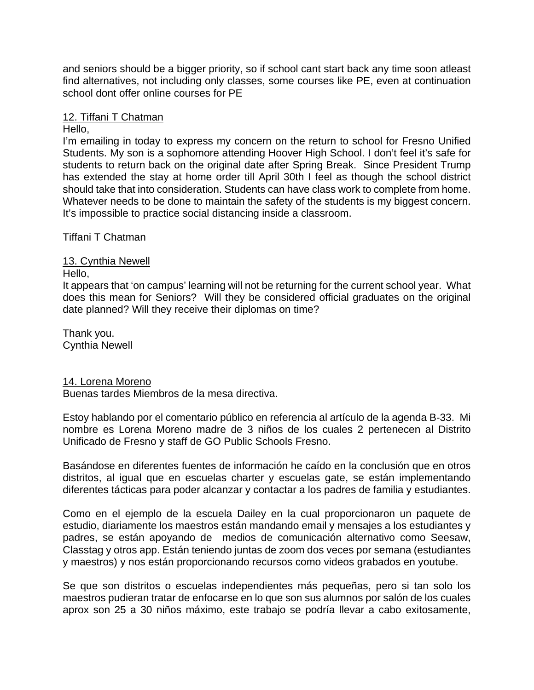and seniors should be a bigger priority, so if school cant start back any time soon atleast find alternatives, not including only classes, some courses like PE, even at continuation school dont offer online courses for PE

### 12. Tiffani T Chatman

#### Hello,

I'm emailing in today to express my concern on the return to school for Fresno Unified Students. My son is a sophomore attending Hoover High School. I don't feel it's safe for students to return back on the original date after Spring Break. Since President Trump has extended the stay at home order till April 30th I feel as though the school district should take that into consideration. Students can have class work to complete from home. Whatever needs to be done to maintain the safety of the students is my biggest concern. It's impossible to practice social distancing inside a classroom.

Tiffani T Chatman

### 13. Cynthia Newell

#### Hello,

It appears that 'on campus' learning will not be returning for the current school year. What does this mean for Seniors? Will they be considered official graduates on the original date planned? Will they receive their diplomas on time?

Thank you. Cynthia Newell

#### 14. Lorena Moreno

Buenas tardes Miembros de la mesa directiva.

Estoy hablando por el comentario público en referencia al artículo de la agenda B-33. Mi nombre es Lorena Moreno madre de 3 niños de los cuales 2 pertenecen al Distrito Unificado de Fresno y staff de GO Public Schools Fresno.

Basándose en diferentes fuentes de información he caído en la conclusión que en otros distritos, al igual que en escuelas charter y escuelas gate, se están implementando diferentes tácticas para poder alcanzar y contactar a los padres de familia y estudiantes.

Como en el ejemplo de la escuela Dailey en la cual proporcionaron un paquete de estudio, diariamente los maestros están mandando email y mensajes a los estudiantes y padres, se están apoyando de medios de comunicación alternativo como Seesaw, Classtag y otros app. Están teniendo juntas de zoom dos veces por semana (estudiantes y maestros) y nos están proporcionando recursos como videos grabados en youtube.

Se que son distritos o escuelas independientes más pequeñas, pero si tan solo los maestros pudieran tratar de enfocarse en lo que son sus alumnos por salón de los cuales aprox son 25 a 30 niños máximo, este trabajo se podría llevar a cabo exitosamente,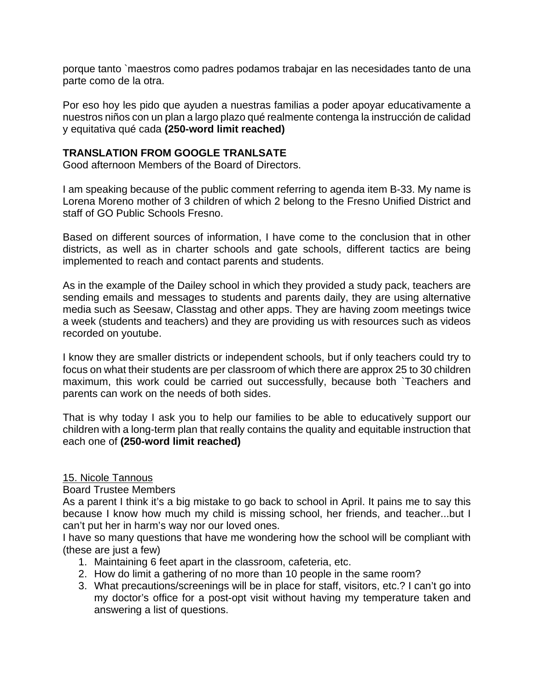porque tanto `maestros como padres podamos trabajar en las necesidades tanto de una parte como de la otra.

Por eso hoy les pido que ayuden a nuestras familias a poder apoyar educativamente a nuestros niños con un plan a largo plazo qué realmente contenga la instrucción de calidad y equitativa qué cada **(250-word limit reached)**

# **TRANSLATION FROM GOOGLE TRANLSATE**

Good afternoon Members of the Board of Directors.

I am speaking because of the public comment referring to agenda item B-33. My name is Lorena Moreno mother of 3 children of which 2 belong to the Fresno Unified District and staff of GO Public Schools Fresno.

Based on different sources of information, I have come to the conclusion that in other districts, as well as in charter schools and gate schools, different tactics are being implemented to reach and contact parents and students.

As in the example of the Dailey school in which they provided a study pack, teachers are sending emails and messages to students and parents daily, they are using alternative media such as Seesaw, Classtag and other apps. They are having zoom meetings twice a week (students and teachers) and they are providing us with resources such as videos recorded on youtube.

I know they are smaller districts or independent schools, but if only teachers could try to focus on what their students are per classroom of which there are approx 25 to 30 children maximum, this work could be carried out successfully, because both `Teachers and parents can work on the needs of both sides.

That is why today I ask you to help our families to be able to educatively support our children with a long-term plan that really contains the quality and equitable instruction that each one of **(250-word limit reached)**

# 15. Nicole Tannous

Board Trustee Members

As a parent I think it's a big mistake to go back to school in April. It pains me to say this because I know how much my child is missing school, her friends, and teacher...but I can't put her in harm's way nor our loved ones.

I have so many questions that have me wondering how the school will be compliant with (these are just a few)

- 1. Maintaining 6 feet apart in the classroom, cafeteria, etc.
- 2. How do limit a gathering of no more than 10 people in the same room?
- 3. What precautions/screenings will be in place for staff, visitors, etc.? I can't go into my doctor's office for a post-opt visit without having my temperature taken and answering a list of questions.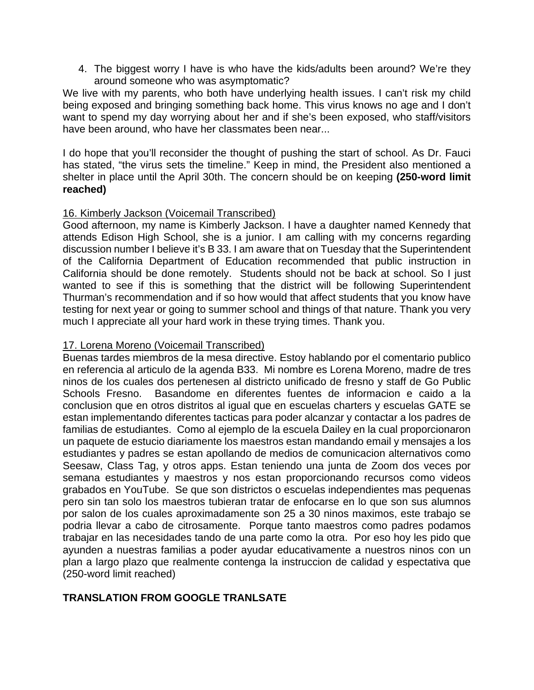4. The biggest worry I have is who have the kids/adults been around? We're they around someone who was asymptomatic?

We live with my parents, who both have underlying health issues. I can't risk my child being exposed and bringing something back home. This virus knows no age and I don't want to spend my day worrying about her and if she's been exposed, who staff/visitors have been around, who have her classmates been near...

I do hope that you'll reconsider the thought of pushing the start of school. As Dr. Fauci has stated, "the virus sets the timeline." Keep in mind, the President also mentioned a shelter in place until the April 30th. The concern should be on keeping **(250-word limit reached)** 

# 16. Kimberly Jackson (Voicemail Transcribed)

Good afternoon, my name is Kimberly Jackson. I have a daughter named Kennedy that attends Edison High School, she is a junior. I am calling with my concerns regarding discussion number I believe it's B 33. I am aware that on Tuesday that the Superintendent of the California Department of Education recommended that public instruction in California should be done remotely. Students should not be back at school. So I just wanted to see if this is something that the district will be following Superintendent Thurman's recommendation and if so how would that affect students that you know have testing for next year or going to summer school and things of that nature. Thank you very much I appreciate all your hard work in these trying times. Thank you.

### 17. Lorena Moreno (Voicemail Transcribed)

Buenas tardes miembros de la mesa directive. Estoy hablando por el comentario publico en referencia al articulo de la agenda B33. Mi nombre es Lorena Moreno, madre de tres ninos de los cuales dos pertenesen al districto unificado de fresno y staff de Go Public Schools Fresno. Basandome en diferentes fuentes de informacion e caido a la conclusion que en otros distritos al igual que en escuelas charters y escuelas GATE se estan implementando diferentes tacticas para poder alcanzar y contactar a los padres de familias de estudiantes. Como al ejemplo de la escuela Dailey en la cual proporcionaron un paquete de estucio diariamente los maestros estan mandando email y mensajes a los estudiantes y padres se estan apollando de medios de comunicacion alternativos como Seesaw, Class Tag, y otros apps. Estan teniendo una junta de Zoom dos veces por semana estudiantes y maestros y nos estan proporcionando recursos como videos grabados en YouTube. Se que son districtos o escuelas independientes mas pequenas pero sin tan solo los maestros tubieran tratar de enfocarse en lo que son sus alumnos por salon de los cuales aproximadamente son 25 a 30 ninos maximos, este trabajo se podria llevar a cabo de citrosamente. Porque tanto maestros como padres podamos trabajar en las necesidades tando de una parte como la otra. Por eso hoy les pido que ayunden a nuestras familias a poder ayudar educativamente a nuestros ninos con un plan a largo plazo que realmente contenga la instruccion de calidad y espectativa que (250-word limit reached)

# **TRANSLATION FROM GOOGLE TRANLSATE**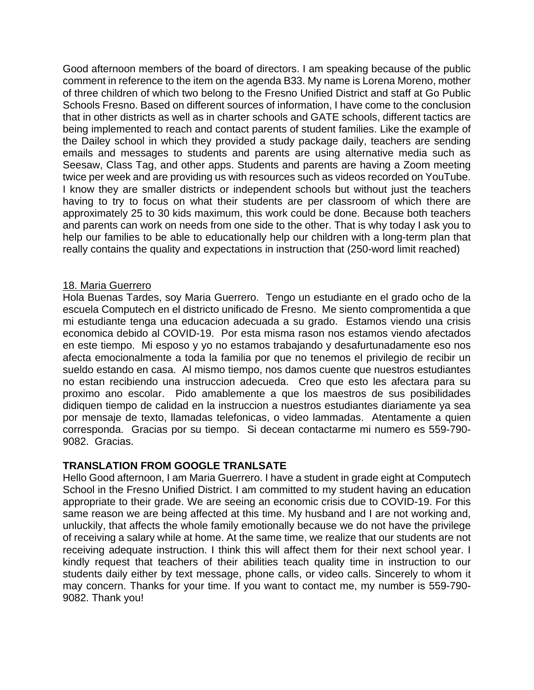Good afternoon members of the board of directors. I am speaking because of the public comment in reference to the item on the agenda B33. My name is Lorena Moreno, mother of three children of which two belong to the Fresno Unified District and staff at Go Public Schools Fresno. Based on different sources of information, I have come to the conclusion that in other districts as well as in charter schools and GATE schools, different tactics are being implemented to reach and contact parents of student families. Like the example of the Dailey school in which they provided a study package daily, teachers are sending emails and messages to students and parents are using alternative media such as Seesaw, Class Tag, and other apps. Students and parents are having a Zoom meeting twice per week and are providing us with resources such as videos recorded on YouTube. I know they are smaller districts or independent schools but without just the teachers having to try to focus on what their students are per classroom of which there are approximately 25 to 30 kids maximum, this work could be done. Because both teachers and parents can work on needs from one side to the other. That is why today I ask you to help our families to be able to educationally help our children with a long-term plan that really contains the quality and expectations in instruction that (250-word limit reached)

#### 18. Maria Guerrero

Hola Buenas Tardes, soy Maria Guerrero. Tengo un estudiante en el grado ocho de la escuela Computech en el districto unificado de Fresno. Me siento compromentida a que mi estudiante tenga una educacion adecuada a su grado. Estamos viendo una crisis economica debido al COVID-19. Por esta misma rason nos estamos viendo afectados en este tiempo. Mi esposo y yo no estamos trabajando y desafurtunadamente eso nos afecta emocionalmente a toda la familia por que no tenemos el privilegio de recibir un sueldo estando en casa. Al mismo tiempo, nos damos cuente que nuestros estudiantes no estan recibiendo una instruccion adecueda. Creo que esto les afectara para su proximo ano escolar. Pido amablemente a que los maestros de sus posibilidades didiquen tiempo de calidad en la instruccion a nuestros estudiantes diariamente ya sea por mensaje de texto, llamadas telefonicas, o video lammadas. Atentamente a quien corresponda. Gracias por su tiempo. Si decean contactarme mi numero es 559-790- 9082. Gracias.

#### **TRANSLATION FROM GOOGLE TRANLSATE**

Hello Good afternoon, I am Maria Guerrero. I have a student in grade eight at Computech School in the Fresno Unified District. I am committed to my student having an education appropriate to their grade. We are seeing an economic crisis due to COVID-19. For this same reason we are being affected at this time. My husband and I are not working and, unluckily, that affects the whole family emotionally because we do not have the privilege of receiving a salary while at home. At the same time, we realize that our students are not receiving adequate instruction. I think this will affect them for their next school year. I kindly request that teachers of their abilities teach quality time in instruction to our students daily either by text message, phone calls, or video calls. Sincerely to whom it may concern. Thanks for your time. If you want to contact me, my number is 559-790- 9082. Thank you!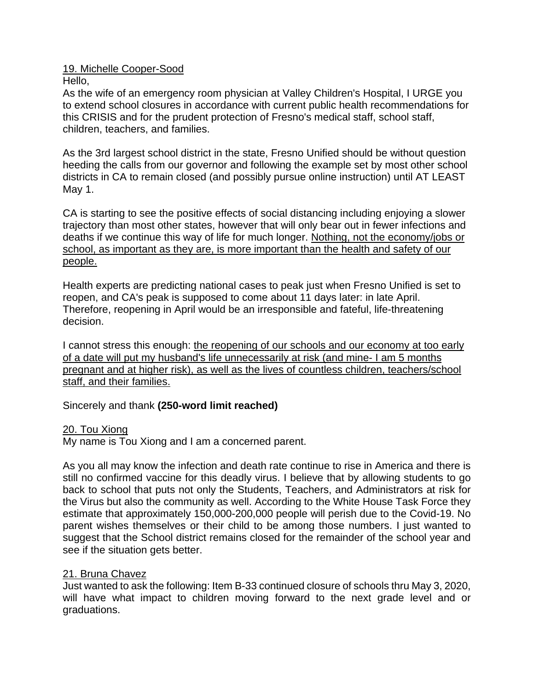# 19. Michelle Cooper-Sood

Hello,

As the wife of an emergency room physician at Valley Children's Hospital, I URGE you to extend school closures in accordance with current public health recommendations for this CRISIS and for the prudent protection of Fresno's medical staff, school staff, children, teachers, and families.

As the 3rd largest school district in the state, Fresno Unified should be without question heeding the calls from our governor and following the example set by most other school districts in CA to remain closed (and possibly pursue online instruction) until AT LEAST May 1.

CA is starting to see the positive effects of social distancing including enjoying a slower trajectory than most other states, however that will only bear out in fewer infections and deaths if we continue this way of life for much longer. Nothing, not the economy/jobs or school, as important as they are, is more important than the health and safety of our people.

Health experts are predicting national cases to peak just when Fresno Unified is set to reopen, and CA's peak is supposed to come about 11 days later: in late April. Therefore, reopening in April would be an irresponsible and fateful, life-threatening decision.

I cannot stress this enough: the reopening of our schools and our economy at too early of a date will put my husband's life unnecessarily at risk (and mine- I am 5 months pregnant and at higher risk), as well as the lives of countless children, teachers/school staff, and their families.

# Sincerely and thank **(250-word limit reached)**

# 20. Tou Xiong

My name is Tou Xiong and I am a concerned parent.

As you all may know the infection and death rate continue to rise in America and there is still no confirmed vaccine for this deadly virus. I believe that by allowing students to go back to school that puts not only the Students, Teachers, and Administrators at risk for the Virus but also the community as well. According to the White House Task Force they estimate that approximately 150,000-200,000 people will perish due to the Covid-19. No parent wishes themselves or their child to be among those numbers. I just wanted to suggest that the School district remains closed for the remainder of the school year and see if the situation gets better.

# 21. Bruna Chavez

Just wanted to ask the following: Item B-33 continued closure of schools thru May 3, 2020, will have what impact to children moving forward to the next grade level and or graduations.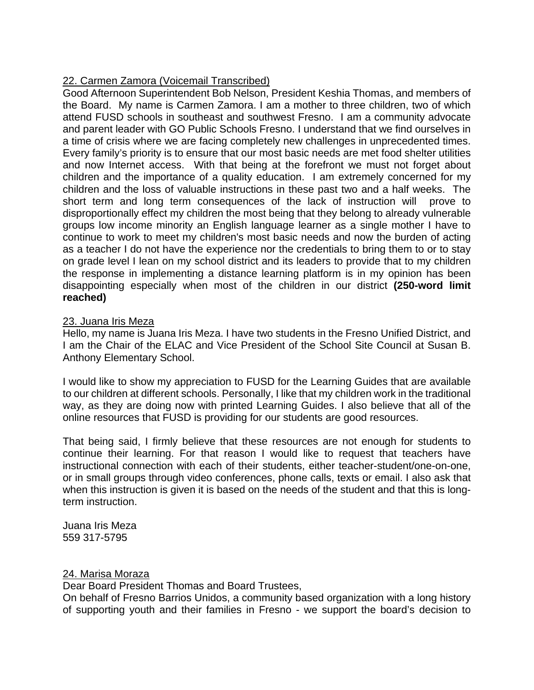# 22. Carmen Zamora (Voicemail Transcribed)

Good Afternoon Superintendent Bob Nelson, President Keshia Thomas, and members of the Board. My name is Carmen Zamora. I am a mother to three children, two of which attend FUSD schools in southeast and southwest Fresno. I am a community advocate and parent leader with GO Public Schools Fresno. I understand that we find ourselves in a time of crisis where we are facing completely new challenges in unprecedented times. Every family's priority is to ensure that our most basic needs are met food shelter utilities and now Internet access. With that being at the forefront we must not forget about children and the importance of a quality education. I am extremely concerned for my children and the loss of valuable instructions in these past two and a half weeks. The short term and long term consequences of the lack of instruction will prove to disproportionally effect my children the most being that they belong to already vulnerable groups low income minority an English language learner as a single mother I have to continue to work to meet my children's most basic needs and now the burden of acting as a teacher I do not have the experience nor the credentials to bring them to or to stay on grade level I lean on my school district and its leaders to provide that to my children the response in implementing a distance learning platform is in my opinion has been disappointing especially when most of the children in our district **(250-word limit reached)**

# 23. Juana Iris Meza

Hello, my name is Juana Iris Meza. I have two students in the Fresno Unified District, and I am the Chair of the ELAC and Vice President of the School Site Council at Susan B. Anthony Elementary School.

I would like to show my appreciation to FUSD for the Learning Guides that are available to our children at different schools. Personally, I like that my children work in the traditional way, as they are doing now with printed Learning Guides. I also believe that all of the online resources that FUSD is providing for our students are good resources.

That being said, I firmly believe that these resources are not enough for students to continue their learning. For that reason I would like to request that teachers have instructional connection with each of their students, either teacher-student/one-on-one, or in small groups through video conferences, phone calls, texts or email. I also ask that when this instruction is given it is based on the needs of the student and that this is longterm instruction.

Juana Iris Meza 559 317-5795

# 24. Marisa Moraza

Dear Board President Thomas and Board Trustees,

On behalf of Fresno Barrios Unidos, a community based organization with a long history of supporting youth and their families in Fresno - we support the board's decision to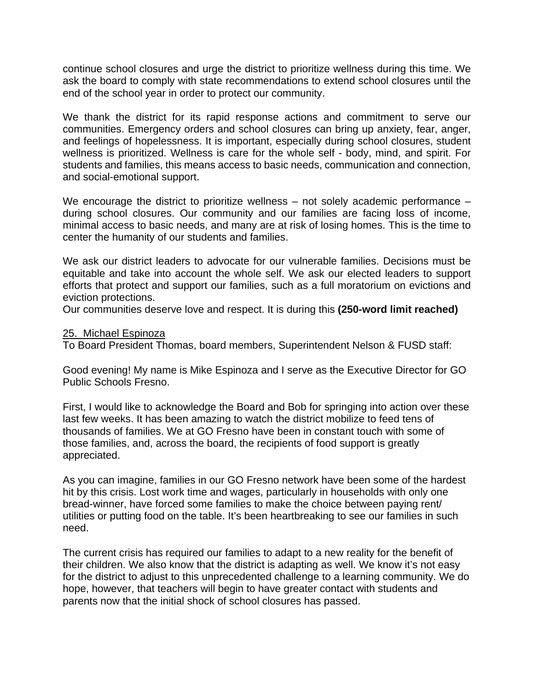continue school closures and urge the district to prioritize wellness during this time. We ask the board to comply with state recommendations to extend school closures until the end of the school year in order to protect our community.

We thank the district for its rapid response actions and commitment to serve our communities. Emergency orders and school closures can bring up anxiety, fear, anger, and feelings of hopelessness. It is important, especially during school closures, student wellness is prioritized. Wellness is care for the whole self - body, mind, and spirit. For students and families, this means access to basic needs, communication and connection, and social-emotional support.

We encourage the district to prioritize wellness – not solely academic performance – during school closures. Our community and our families are facing loss of income, minimal access to basic needs, and many are at risk of losing homes. This is the time to center the humanity of our students and families.

We ask our district leaders to advocate for our vulnerable families. Decisions must be equitable and take into account the whole self. We ask our elected leaders to support efforts that protect and support our families, such as a full moratorium on evictions and eviction protections.

Our communities deserve love and respect. It is during this **(250-word limit reached)**

### 25. Michael Espinoza

To Board President Thomas, board members, Superintendent Nelson & FUSD staff:

Good evening! My name is Mike Espinoza and I serve as the Executive Director for GO Public Schools Fresno.

First, I would like to acknowledge the Board and Bob for springing into action over these last few weeks. It has been amazing to watch the district mobilize to feed tens of thousands of families. We at GO Fresno have been in constant touch with some of those families, and, across the board, the recipients of food support is greatly appreciated.

As you can imagine, families in our GO Fresno network have been some of the hardest hit by this crisis. Lost work time and wages, particularly in households with only one bread-winner, have forced some families to make the choice between paying rent/ utilities or putting food on the table. It's been heartbreaking to see our families in such need.

The current crisis has required our families to adapt to a new reality for the benefit of their children. We also know that the district is adapting as well. We know it's not easy for the district to adjust to this unprecedented challenge to a learning community. We do hope, however, that teachers will begin to have greater contact with students and parents now that the initial shock of school closures has passed.